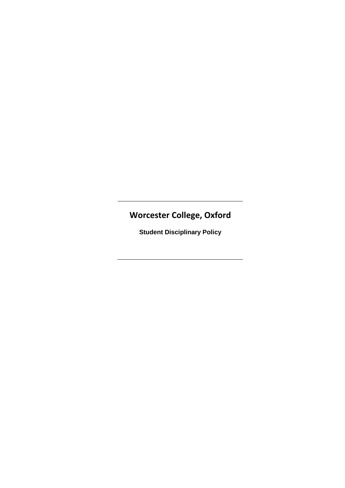# **Worcester College, Oxford**

**Student Disciplinary Policy**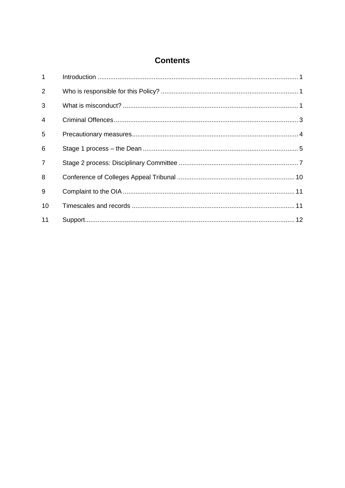# **Contents**

| $\mathbf{1}$   |  |
|----------------|--|
| 2              |  |
| 3              |  |
| 4              |  |
| 5              |  |
| 6              |  |
| $\overline{7}$ |  |
| 8              |  |
| 9              |  |
| 10             |  |
| 11             |  |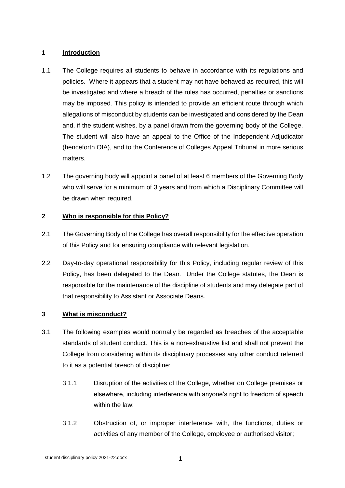# **1 Introduction**

- 1.1 The College requires all students to behave in accordance with its regulations and policies. Where it appears that a student may not have behaved as required, this will be investigated and where a breach of the rules has occurred, penalties or sanctions may be imposed. This policy is intended to provide an efficient route through which allegations of misconduct by students can be investigated and considered by the Dean and, if the student wishes, by a panel drawn from the governing body of the College. The student will also have an appeal to the Office of the Independent Adjudicator (henceforth OIA), and to the Conference of Colleges Appeal Tribunal in more serious matters.
- 1.2 The governing body will appoint a panel of at least 6 members of the Governing Body who will serve for a minimum of 3 years and from which a Disciplinary Committee will be drawn when required.

# **2 Who is responsible for this Policy?**

- 2.1 The Governing Body of the College has overall responsibility for the effective operation of this Policy and for ensuring compliance with relevant legislation.
- 2.2 Day-to-day operational responsibility for this Policy, including regular review of this Policy, has been delegated to the Dean. Under the College statutes, the Dean is responsible for the maintenance of the discipline of students and may delegate part of that responsibility to Assistant or Associate Deans.

# **3 What is misconduct?**

- 3.1 The following examples would normally be regarded as breaches of the acceptable standards of student conduct. This is a non-exhaustive list and shall not prevent the College from considering within its disciplinary processes any other conduct referred to it as a potential breach of discipline:
	- 3.1.1 Disruption of the activities of the College, whether on College premises or elsewhere, including interference with anyone's right to freedom of speech within the law;
	- 3.1.2 Obstruction of, or improper interference with, the functions, duties or activities of any member of the College, employee or authorised visitor;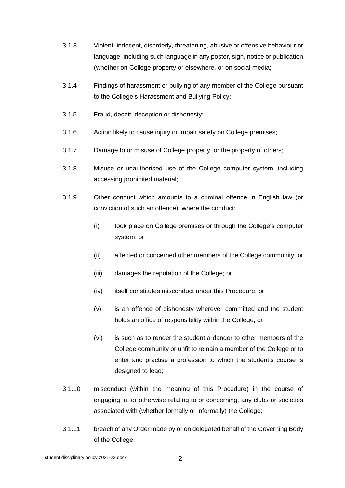- 3.1.3 Violent, indecent, disorderly, threatening, abusive or offensive behaviour or language, including such language in any poster, sign, notice or publication (whether on College property or elsewhere, or on social media;
- 3.1.4 Findings of harassment or bullying of any member of the College pursuant to the College's Harassment and Bullying Policy;
- 3.1.5 Fraud, deceit, deception or dishonesty;
- 3.1.6 Action likely to cause injury or impair safety on College premises;
- 3.1.7 Damage to or misuse of College property, or the property of others;
- 3.1.8 Misuse or unauthorised use of the College computer system, including accessing prohibited material;
- 3.1.9 Other conduct which amounts to a criminal offence in English law (or conviction of such an offence), where the conduct:
	- (i) took place on College premises or through the College's computer system; or
	- (ii) affected or concerned other members of the College community; or
	- (iii) damages the reputation of the College; or
	- (iv) itself constitutes misconduct under this Procedure; or
	- (v) is an offence of dishonesty wherever committed and the student holds an office of responsibility within the College; or
	- (vi) is such as to render the student a danger to other members of the College community or unfit to remain a member of the College or to enter and practise a profession to which the student's course is designed to lead;
- 3.1.10 misconduct (within the meaning of this Procedure) in the course of engaging in, or otherwise relating to or concerning, any clubs or societies associated with (whether formally or informally) the College;
- 3.1.11 breach of any Order made by or on delegated behalf of the Governing Body of the College;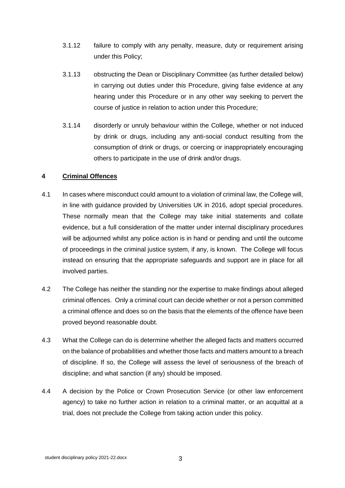- 3.1.12 failure to comply with any penalty, measure, duty or requirement arising under this Policy;
- 3.1.13 obstructing the Dean or Disciplinary Committee (as further detailed below) in carrying out duties under this Procedure, giving false evidence at any hearing under this Procedure or in any other way seeking to pervert the course of justice in relation to action under this Procedure;
- 3.1.14 disorderly or unruly behaviour within the College, whether or not induced by drink or drugs, including any anti-social conduct resulting from the consumption of drink or drugs, or coercing or inappropriately encouraging others to participate in the use of drink and/or drugs.

# **4 Criminal Offences**

- 4.1 In cases where misconduct could amount to a violation of criminal law, the College will, in line with guidance provided by Universities UK in 2016, adopt special procedures. These normally mean that the College may take initial statements and collate evidence, but a full consideration of the matter under internal disciplinary procedures will be adjourned whilst any police action is in hand or pending and until the outcome of proceedings in the criminal justice system, if any, is known. The College will focus instead on ensuring that the appropriate safeguards and support are in place for all involved parties.
- 4.2 The College has neither the standing nor the expertise to make findings about alleged criminal offences. Only a criminal court can decide whether or not a person committed a criminal offence and does so on the basis that the elements of the offence have been proved beyond reasonable doubt.
- 4.3 What the College can do is determine whether the alleged facts and matters occurred on the balance of probabilities and whether those facts and matters amount to a breach of discipline. If so, the College will assess the level of seriousness of the breach of discipline; and what sanction (if any) should be imposed.
- 4.4 A decision by the Police or Crown Prosecution Service (or other law enforcement agency) to take no further action in relation to a criminal matter, or an acquittal at a trial, does not preclude the College from taking action under this policy.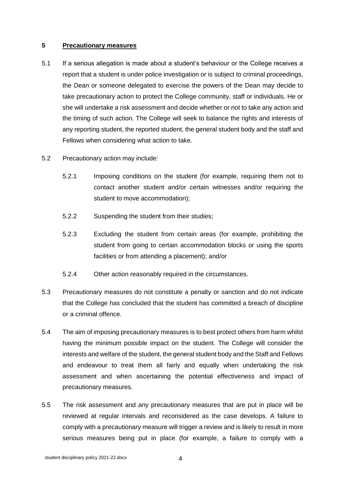#### **5 Precautionary measures**

- 5.1 If a serious allegation is made about a student's behaviour or the College receives a report that a student is under police investigation or is subject to criminal proceedings, the Dean or someone delegated to exercise the powers of the Dean may decide to take precautionary action to protect the College community, staff or individuals. He or she will undertake a risk assessment and decide whether or not to take any action and the timing of such action. The College will seek to balance the rights and interests of any reporting student, the reported student, the general student body and the staff and Fellows when considering what action to take.
- 5.2 Precautionary action may include:
	- 5.2.1 Imposing conditions on the student (for example, requiring them not to contact another student and/or certain witnesses and/or requiring the student to move accommodation);
	- 5.2.2 Suspending the student from their studies;
	- 5.2.3 Excluding the student from certain areas (for example, prohibiting the student from going to certain accommodation blocks or using the sports facilities or from attending a placement); and/or
	- 5.2.4 Other action reasonably required in the circumstances.
- 5.3 Precautionary measures do not constitute a penalty or sanction and do not indicate that the College has concluded that the student has committed a breach of discipline or a criminal offence.
- 5.4 The aim of imposing precautionary measures is to best protect others from harm whilst having the minimum possible impact on the student. The College will consider the interests and welfare of the student, the general student body and the Staff and Fellows and endeavour to treat them all fairly and equally when undertaking the risk assessment and when ascertaining the potential effectiveness and impact of precautionary measures.
- 5.5 The risk assessment and any precautionary measures that are put in place will be reviewed at regular intervals and reconsidered as the case develops. A failure to comply with a precautionary measure will trigger a review and is likely to result in more serious measures being put in place (for example, a failure to comply with a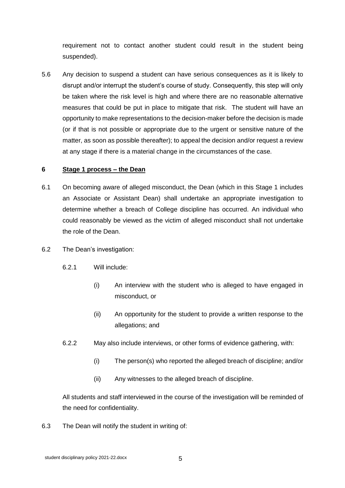requirement not to contact another student could result in the student being suspended).

5.6 Any decision to suspend a student can have serious consequences as it is likely to disrupt and/or interrupt the student's course of study. Consequently, this step will only be taken where the risk level is high and where there are no reasonable alternative measures that could be put in place to mitigate that risk. The student will have an opportunity to make representations to the decision-maker before the decision is made (or if that is not possible or appropriate due to the urgent or sensitive nature of the matter, as soon as possible thereafter); to appeal the decision and/or request a review at any stage if there is a material change in the circumstances of the case.

#### **6 Stage 1 process – the Dean**

- 6.1 On becoming aware of alleged misconduct, the Dean (which in this Stage 1 includes an Associate or Assistant Dean) shall undertake an appropriate investigation to determine whether a breach of College discipline has occurred. An individual who could reasonably be viewed as the victim of alleged misconduct shall not undertake the role of the Dean.
- 6.2 The Dean's investigation:
	- 6.2.1 Will include:
		- (i) An interview with the student who is alleged to have engaged in misconduct, or
		- (ii) An opportunity for the student to provide a written response to the allegations; and
	- 6.2.2 May also include interviews, or other forms of evidence gathering, with:
		- (i) The person(s) who reported the alleged breach of discipline; and/or
		- (ii) Any witnesses to the alleged breach of discipline.

All students and staff interviewed in the course of the investigation will be reminded of the need for confidentiality.

6.3 The Dean will notify the student in writing of: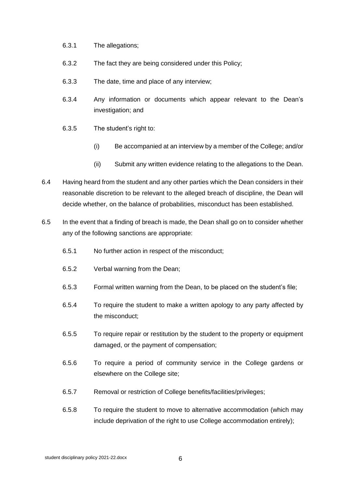- 6.3.1 The allegations;
- 6.3.2 The fact they are being considered under this Policy;
- 6.3.3 The date, time and place of any interview;
- 6.3.4 Any information or documents which appear relevant to the Dean's investigation; and
- 6.3.5 The student's right to:
	- (i) Be accompanied at an interview by a member of the College; and/or
	- (ii) Submit any written evidence relating to the allegations to the Dean.
- 6.4 Having heard from the student and any other parties which the Dean considers in their reasonable discretion to be relevant to the alleged breach of discipline, the Dean will decide whether, on the balance of probabilities, misconduct has been established.
- 6.5 In the event that a finding of breach is made, the Dean shall go on to consider whether any of the following sanctions are appropriate:
	- 6.5.1 No further action in respect of the misconduct;
	- 6.5.2 Verbal warning from the Dean;
	- 6.5.3 Formal written warning from the Dean, to be placed on the student's file;
	- 6.5.4 To require the student to make a written apology to any party affected by the misconduct;
	- 6.5.5 To require repair or restitution by the student to the property or equipment damaged, or the payment of compensation;
	- 6.5.6 To require a period of community service in the College gardens or elsewhere on the College site;
	- 6.5.7 Removal or restriction of College benefits/facilities/privileges;
	- 6.5.8 To require the student to move to alternative accommodation (which may include deprivation of the right to use College accommodation entirely);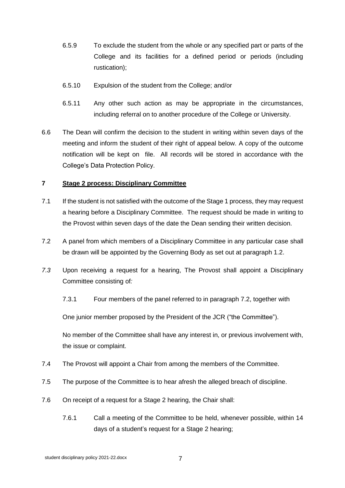- 6.5.9 To exclude the student from the whole or any specified part or parts of the College and its facilities for a defined period or periods (including rustication);
- 6.5.10 Expulsion of the student from the College; and/or
- 6.5.11 Any other such action as may be appropriate in the circumstances, including referral on to another procedure of the College or University.
- 6.6 The Dean will confirm the decision to the student in writing within seven days of the meeting and inform the student of their right of appeal below. A copy of the outcome notification will be kept on file. All records will be stored in accordance with the College's Data Protection Policy.

#### **7 Stage 2 process: Disciplinary Committee**

- 7.1 If the student is not satisfied with the outcome of the Stage 1 process, they may request a hearing before a Disciplinary Committee. The request should be made in writing to the Provost within seven days of the date the Dean sending their written decision.
- 7.2 A panel from which members of a Disciplinary Committee in any particular case shall be drawn will be appointed by the Governing Body as set out at paragraph 1.2.
- *7.3* Upon receiving a request for a hearing, The Provost shall appoint a Disciplinary Committee consisting of*:*
	- 7.3.1 Four members of the panel referred to in paragraph 7.2, together with

One junior member proposed by the President of the JCR ("the Committee").

No member of the Committee shall have any interest in, or previous involvement with, the issue or complaint.

- 7.4 The Provost will appoint a Chair from among the members of the Committee.
- 7.5 The purpose of the Committee is to hear afresh the alleged breach of discipline.
- 7.6 On receipt of a request for a Stage 2 hearing, the Chair shall:
	- 7.6.1 Call a meeting of the Committee to be held, whenever possible, within 14 days of a student's request for a Stage 2 hearing;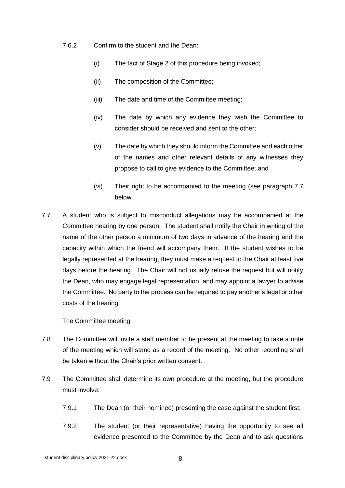7.6.2 Confirm to the student and the Dean:

- (i) The fact of Stage 2 of this procedure being invoked;
- (ii) The composition of the Committee;
- (iii) The date and time of the Committee meeting;
- (iv) The date by which any evidence they wish the Committee to consider should be received and sent to the other;
- (v) The date by which they should inform the Committee and each other of the names and other relevant details of any witnesses they propose to call to give evidence to the Committee; and
- (vi) Their right to be accompanied to the meeting (see paragraph 7.7 below.
- 7.7 A student who is subject to misconduct allegations may be accompanied at the Committee hearing by one person. The student shall notify the Chair in writing of the name of the other person a minimum of two days in advance of the hearing and the capacity within which the friend will accompany them. If the student wishes to be legally represented at the hearing, they must make a request to the Chair at least five days before the hearing. The Chair will not usually refuse the request but will notify the Dean, who may engage legal representation, and may appoint a lawyer to advise the Committee. No party to the process can be required to pay another's legal or other costs of the hearing.

#### The Committee meeting

- 7.8 The Committee will invite a staff member to be present at the meeting to take a note of the meeting which will stand as a record of the meeting. No other recording shall be taken without the Chair's prior written consent.
- 7.9 The Committee shall determine its own procedure at the meeting, but the procedure must involve:
	- 7.9.1 The Dean (or their nominee) presenting the case against the student first;
	- 7.9.2 The student (or their representative) having the opportunity to see all evidence presented to the Committee by the Dean and to ask questions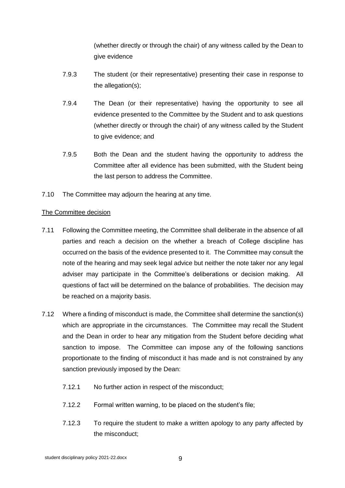(whether directly or through the chair) of any witness called by the Dean to give evidence

- 7.9.3 The student (or their representative) presenting their case in response to the allegation(s);
- 7.9.4 The Dean (or their representative) having the opportunity to see all evidence presented to the Committee by the Student and to ask questions (whether directly or through the chair) of any witness called by the Student to give evidence; and
- 7.9.5 Both the Dean and the student having the opportunity to address the Committee after all evidence has been submitted, with the Student being the last person to address the Committee.
- 7.10 The Committee may adjourn the hearing at any time.

# The Committee decision

- 7.11 Following the Committee meeting, the Committee shall deliberate in the absence of all parties and reach a decision on the whether a breach of College discipline has occurred on the basis of the evidence presented to it. The Committee may consult the note of the hearing and may seek legal advice but neither the note taker nor any legal adviser may participate in the Committee's deliberations or decision making. All questions of fact will be determined on the balance of probabilities. The decision may be reached on a majority basis.
- 7.12 Where a finding of misconduct is made, the Committee shall determine the sanction(s) which are appropriate in the circumstances. The Committee may recall the Student and the Dean in order to hear any mitigation from the Student before deciding what sanction to impose. The Committee can impose any of the following sanctions proportionate to the finding of misconduct it has made and is not constrained by any sanction previously imposed by the Dean:
	- 7.12.1 No further action in respect of the misconduct;
	- 7.12.2 Formal written warning, to be placed on the student's file;
	- 7.12.3 To require the student to make a written apology to any party affected by the misconduct;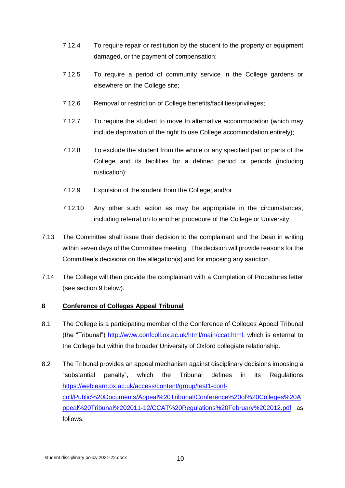- 7.12.4 To require repair or restitution by the student to the property or equipment damaged, or the payment of compensation;
- 7.12.5 To require a period of community service in the College gardens or elsewhere on the College site;
- 7.12.6 Removal or restriction of College benefits/facilities/privileges;
- 7.12.7 To require the student to move to alternative accommodation (which may include deprivation of the right to use College accommodation entirely);
- 7.12.8 To exclude the student from the whole or any specified part or parts of the College and its facilities for a defined period or periods (including rustication);
- 7.12.9 Expulsion of the student from the College; and/or
- 7.12.10 Any other such action as may be appropriate in the circumstances, including referral on to another procedure of the College or University.
- 7.13 The Committee shall issue their decision to the complainant and the Dean in writing within seven days of the Committee meeting. The decision will provide reasons for the Committee's decisions on the allegation(s) and for imposing any sanction.
- 7.14 The College will then provide the complainant with a Completion of Procedures letter (see section 9 below).

#### **8 Conference of Colleges Appeal Tribunal**

- 8.1 The College is a participating member of the Conference of Colleges Appeal Tribunal (the "Tribunal") [http://www.confcoll.ox.ac.uk/html/main/ccat.html,](http://www.confcoll.ox.ac.uk/html/main/ccat.html) which is external to the College but within the broader University of Oxford collegiate relationship.
- 8.2 The Tribunal provides an appeal mechanism against disciplinary decisions imposing a "substantial penalty", which the Tribunal defines in its Regulations [https://weblearn.ox.ac.uk/access/content/group/test1-conf](https://weblearn.ox.ac.uk/access/content/group/test1-conf-coll/Public%20Documents/Appeal%20Tribunal/Conference%20of%20Colleges%20Appeal%20Tribunal%202011-12/CCAT%20Regulations%20February%202012.pdf)[coll/Public%20Documents/Appeal%20Tribunal/Conference%20of%20Colleges%20A](https://weblearn.ox.ac.uk/access/content/group/test1-conf-coll/Public%20Documents/Appeal%20Tribunal/Conference%20of%20Colleges%20Appeal%20Tribunal%202011-12/CCAT%20Regulations%20February%202012.pdf) [ppeal%20Tribunal%202011-12/CCAT%20Regulations%20February%202012.pdf](https://weblearn.ox.ac.uk/access/content/group/test1-conf-coll/Public%20Documents/Appeal%20Tribunal/Conference%20of%20Colleges%20Appeal%20Tribunal%202011-12/CCAT%20Regulations%20February%202012.pdf) as follows: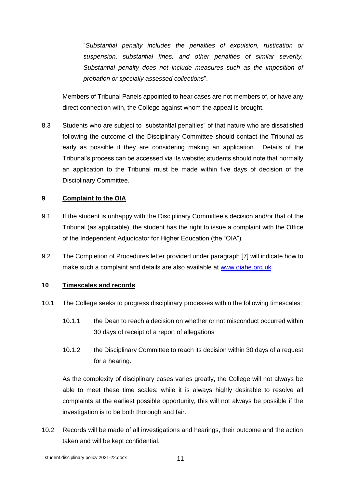"*Substantial penalty includes the penalties of expulsion, rustication or suspension, substantial fines, and other penalties of similar severity. Substantial penalty does not include measures such as the imposition of probation or specially assessed collections*".

Members of Tribunal Panels appointed to hear cases are not members of, or have any direct connection with, the College against whom the appeal is brought.

8.3 Students who are subject to "substantial penalties" of that nature who are dissatisfied following the outcome of the Disciplinary Committee should contact the Tribunal as early as possible if they are considering making an application. Details of the Tribunal's process can be accessed via its website; students should note that normally an application to the Tribunal must be made within five days of decision of the Disciplinary Committee.

# **9 Complaint to the OIA**

- 9.1 If the student is unhappy with the Disciplinary Committee's decision and/or that of the Tribunal (as applicable), the student has the right to issue a complaint with the Office of the Independent Adjudicator for Higher Education (the "OIA").
- 9.2 The Completion of Procedures letter provided under paragraph [7] will indicate how to make such a complaint and details are also available at [www.oiahe.org.uk.](http://www.oiahe.org.uk/)

#### **10 Timescales and records**

- 10.1 The College seeks to progress disciplinary processes within the following timescales:
	- 10.1.1 the Dean to reach a decision on whether or not misconduct occurred within 30 days of receipt of a report of allegations
	- 10.1.2 the Disciplinary Committee to reach its decision within 30 days of a request for a hearing.

As the complexity of disciplinary cases varies greatly, the College will not always be able to meet these time scales: while it is always highly desirable to resolve all complaints at the earliest possible opportunity, this will not always be possible if the investigation is to be both thorough and fair.

10.2 Records will be made of all investigations and hearings, their outcome and the action taken and will be kept confidential.